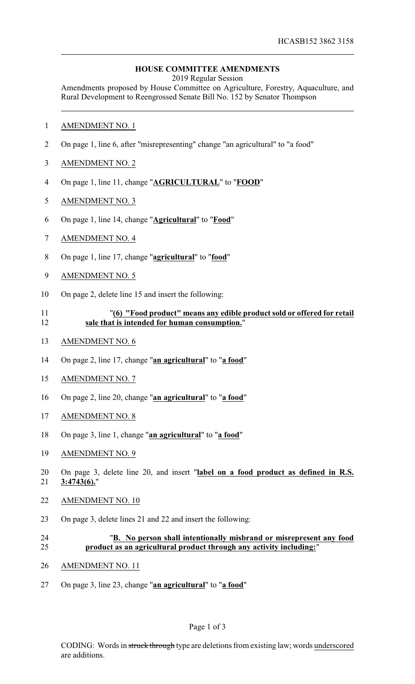## **HOUSE COMMITTEE AMENDMENTS**

2019 Regular Session

Amendments proposed by House Committee on Agriculture, Forestry, Aquaculture, and Rural Development to Reengrossed Senate Bill No. 152 by Senator Thompson

- AMENDMENT NO. 1
- On page 1, line 6, after "misrepresenting" change "an agricultural" to "a food"
- AMENDMENT NO. 2
- On page 1, line 11, change "**AGRICULTURAL**" to "**FOOD**"
- AMENDMENT NO. 3
- On page 1, line 14, change "**Agricultural**" to "**Food**"
- AMENDMENT NO. 4
- On page 1, line 17, change "**agricultural**" to "**food**"
- AMENDMENT NO. 5
- On page 2, delete line 15 and insert the following:
- "**(6) "Food product" means any edible product sold or offered for retail sale that is intended for human consumption.**"
- AMENDMENT NO. 6
- On page 2, line 17, change "**an agricultural**" to "**a food**"
- AMENDMENT NO. 7
- On page 2, line 20, change "**an agricultural**" to "**a food**"
- AMENDMENT NO. 8
- On page 3, line 1, change "**an agricultural**" to "**a food**"
- AMENDMENT NO. 9
- On page 3, delete line 20, and insert "**label on a food product as defined in R.S. 3:4743(6).**"
- AMENDMENT NO. 10
- On page 3, delete lines 21 and 22 and insert the following:
- "**B. No person shall intentionally misbrand or misrepresent any food product as an agricultural product through any activity including:**"
- AMENDMENT NO. 11
- On page 3, line 23, change "**an agricultural**" to "**a food**"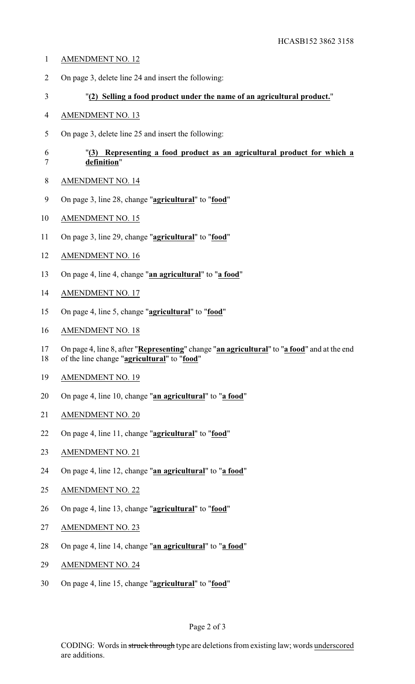- AMENDMENT NO. 12
- On page 3, delete line 24 and insert the following:
- "**(2) Selling a food product under the name of an agricultural product.**"
- AMENDMENT NO. 13
- On page 3, delete line 25 and insert the following:

## "**(3) Representing a food product as an agricultural product for which a definition**"

- AMENDMENT NO. 14
- On page 3, line 28, change "**agricultural**" to "**food**"
- AMENDMENT NO. 15
- On page 3, line 29, change "**agricultural**" to "**food**"
- AMENDMENT NO. 16
- On page 4, line 4, change "**an agricultural**" to "**a food**"
- AMENDMENT NO. 17
- On page 4, line 5, change "**agricultural**" to "**food**"
- AMENDMENT NO. 18
- On page 4, line 8, after "**Representing**" change "**an agricultural**" to "**a food**" and at the end
- of the line change "**agricultural**" to "**food**"
- AMENDMENT NO. 19
- On page 4, line 10, change "**an agricultural**" to "**a food**"
- AMENDMENT NO. 20
- On page 4, line 11, change "**agricultural**" to "**food**"
- AMENDMENT NO. 21
- On page 4, line 12, change "**an agricultural**" to "**a food**"
- AMENDMENT NO. 22
- On page 4, line 13, change "**agricultural**" to "**food**"
- AMENDMENT NO. 23
- On page 4, line 14, change "**an agricultural**" to "**a food**"
- AMENDMENT NO. 24
- On page 4, line 15, change "**agricultural**" to "**food**"